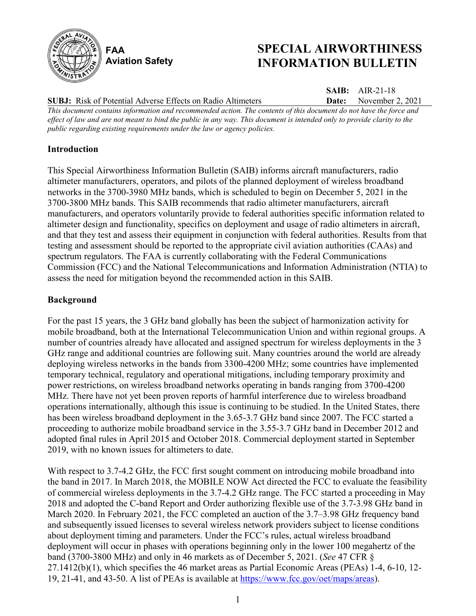

# **SPECIAL AIRWORTHINESS INFORMATION BULLETIN**

**SAIB:** AIR-21-18

**SUBJ:** Risk of Potential Adverse Effects on Radio Altimeters

**Date:** November 2, 2021 *This document contains information and recommended action. The contents of this document do not have the force and effect of law and are not meant to bind the public in any way. This document is intended only to provide clarity to the public regarding existing requirements under the law or agency policies.*

## **Introduction**

This Special Airworthiness Information Bulletin (SAIB) informs aircraft manufacturers, radio altimeter manufacturers, operators, and pilots of the planned deployment of wireless broadband networks in the 3700-3980 MHz bands, which is scheduled to begin on December 5, 2021 in the 3700-3800 MHz bands. This SAIB recommends that radio altimeter manufacturers, aircraft manufacturers, and operators voluntarily provide to federal authorities specific information related to altimeter design and functionality, specifics on deployment and usage of radio altimeters in aircraft, and that they test and assess their equipment in conjunction with federal authorities. Results from that testing and assessment should be reported to the appropriate civil aviation authorities (CAAs) and spectrum regulators. The FAA is currently collaborating with the Federal Communications Commission (FCC) and the National Telecommunications and Information Administration (NTIA) to assess the need for mitigation beyond the recommended action in this SAIB.

# **Background**

For the past 15 years, the 3 GHz band globally has been the subject of harmonization activity for mobile broadband, both at the International Telecommunication Union and within regional groups. A number of countries already have allocated and assigned spectrum for wireless deployments in the 3 GHz range and additional countries are following suit. Many countries around the world are already deploying wireless networks in the bands from 3300-4200 MHz; some countries have implemented temporary technical, regulatory and operational mitigations, including temporary proximity and power restrictions, on wireless broadband networks operating in bands ranging from 3700-4200 MHz. There have not yet been proven reports of harmful interference due to wireless broadband operations internationally, although this issue is continuing to be studied. In the United States, there has been wireless broadband deployment in the 3.65-3.7 GHz band since 2007. The FCC started a proceeding to authorize mobile broadband service in the 3.55-3.7 GHz band in December 2012 and adopted final rules in April 2015 and October 2018. Commercial deployment started in September 2019, with no known issues for altimeters to date.

With respect to 3.7-4.2 GHz, the FCC first sought comment on introducing mobile broadband into the band in 2017. In March 2018, the MOBILE NOW Act directed the FCC to evaluate the feasibility of commercial wireless deployments in the 3.7-4.2 GHz range. The FCC started a proceeding in May 2018 and adopted the C-band Report and Order authorizing flexible use of the 3.7-3.98 GHz band in March 2020. In February 2021, the FCC completed an auction of the 3.7–3.98 GHz frequency band and subsequently issued licenses to several wireless network providers subject to license conditions about deployment timing and parameters. Under the FCC's rules, actual wireless broadband deployment will occur in phases with operations beginning only in the lower 100 megahertz of the band (3700-3800 MHz) and only in 46 markets as of December 5, 2021. (*See* 47 CFR § 27.1412(b)(1), which specifies the 46 market areas as Partial Economic Areas (PEAs) 1-4, 6-10, 12- 19, 21-41, and 43-50. A list of PEAs is available at [https://www.fcc.gov/oet/maps/areas\)](https://www.fcc.gov/oet/maps/areas).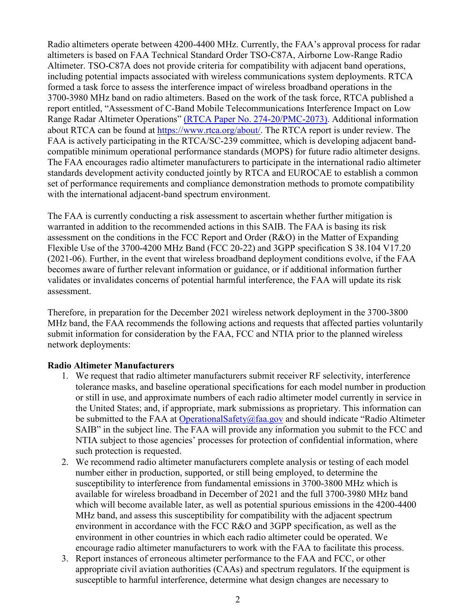Radio altimeters operate between 4200-4400 MHz. Currently, the FAA's approval process for radar altimeters is based on FAA Technical Standard Order TSO-C87A, Airborne Low-Range Radio Altimeter. TSO-C87A does not provide criteria for compatibility with adjacent band operations, including potential impacts associated with wireless communications system deployments. RTCA formed a task force to assess the interference impact of wireless broadband operations in the 3700-3980 MHz band on radio altimeters. Based on the work of the task force, RTCA published a report entitled, "Assessment of C-Band Mobile Telecommunications Interference Impact on Low Range Radar Altimeter Operations" [\(RTCA Paper No. 274-20/PMC-2073\).](https://www.rtca.org/wp-content/uploads/2020/10/SC-239-5G-Interference-Assessment-Report_274-20-PMC-2073_accepted_changes.pdf) Additional information about RTCA can be found at [https://www.rtca.org/about/.](https://www.rtca.org/about/) The RTCA report is under review. The FAA is actively participating in the RTCA/SC-239 committee, which is developing adjacent bandcompatible minimum operational performance standards (MOPS) for future radio altimeter designs. The FAA encourages radio altimeter manufacturers to participate in the international radio altimeter standards development activity conducted jointly by RTCA and EUROCAE to establish a common set of performance requirements and compliance demonstration methods to promote compatibility with the international adjacent-band spectrum environment.

The FAA is currently conducting a risk assessment to ascertain whether further mitigation is warranted in addition to the recommended actions in this SAIB. The FAA is basing its risk assessment on the conditions in the FCC Report and Order (R&O) in the Matter of Expanding Flexible Use of the 3700-4200 MHz Band (FCC 20-22) and 3GPP specification S 38.104 V17.20 (2021-06). Further, in the event that wireless broadband deployment conditions evolve, if the FAA becomes aware of further relevant information or guidance, or if additional information further validates or invalidates concerns of potential harmful interference, the FAA will update its risk assessment.

Therefore, in preparation for the December 2021 wireless network deployment in the 3700-3800 MHz band, the FAA recommends the following actions and requests that affected parties voluntarily submit information for consideration by the FAA, FCC and NTIA prior to the planned wireless network deployments:

#### **Radio Altimeter Manufacturers**

- 1. We request that radio altimeter manufacturers submit receiver RF selectivity, interference tolerance masks, and baseline operational specifications for each model number in production or still in use, and approximate numbers of each radio altimeter model currently in service in the United States; and, if appropriate, mark submissions as proprietary. This information can be submitted to the FAA at [OperationalSafety@faa.gov](mailto:OperationalSafety@faa.gov) and should indicate "Radio Altimeter SAIB" in the subject line. The FAA will provide any information you submit to the FCC and NTIA subject to those agencies' processes for protection of confidential information, where such protection is requested.
- 2. We recommend radio altimeter manufacturers complete analysis or testing of each model number either in production, supported, or still being employed, to determine the susceptibility to interference from fundamental emissions in 3700-3800 MHz which is available for wireless broadband in December of 2021 and the full 3700-3980 MHz band which will become available later, as well as potential spurious emissions in the 4200-4400 MHz band, and assess this susceptibility for compatibility with the adjacent spectrum environment in accordance with the FCC R&O and 3GPP specification, as well as the environment in other countries in which each radio altimeter could be operated. We encourage radio altimeter manufacturers to work with the FAA to facilitate this process.
- 3. Report instances of erroneous altimeter performance to the FAA and FCC, or other appropriate civil aviation authorities (CAAs) and spectrum regulators. If the equipment is susceptible to harmful interference, determine what design changes are necessary to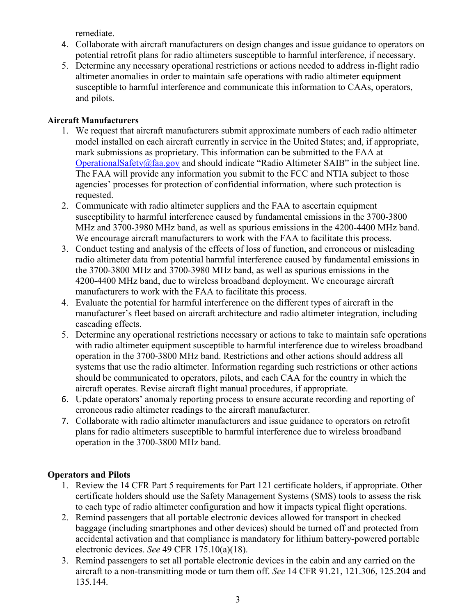remediate.

- 4. Collaborate with aircraft manufacturers on design changes and issue guidance to operators on potential retrofit plans for radio altimeters susceptible to harmful interference, if necessary.
- 5. Determine any necessary operational restrictions or actions needed to address in-flight radio altimeter anomalies in order to maintain safe operations with radio altimeter equipment susceptible to harmful interference and communicate this information to CAAs, operators, and pilots.

#### **Aircraft Manufacturers**

- 1. We request that aircraft manufacturers submit approximate numbers of each radio altimeter model installed on each aircraft currently in service in the United States; and, if appropriate, mark submissions as proprietary. This information can be submitted to the FAA at [OperationalSafety@faa.gov](mailto:OperationalSafety@faa.gov) and should indicate "Radio Altimeter SAIB" in the subject line. The FAA will provide any information you submit to the FCC and NTIA subject to those agencies' processes for protection of confidential information, where such protection is requested.
- 2. Communicate with radio altimeter suppliers and the FAA to ascertain equipment susceptibility to harmful interference caused by fundamental emissions in the 3700-3800 MHz and 3700-3980 MHz band, as well as spurious emissions in the 4200-4400 MHz band. We encourage aircraft manufacturers to work with the FAA to facilitate this process.
- 3. Conduct testing and analysis of the effects of loss of function, and erroneous or misleading radio altimeter data from potential harmful interference caused by fundamental emissions in the 3700-3800 MHz and 3700-3980 MHz band, as well as spurious emissions in the 4200-4400 MHz band, due to wireless broadband deployment. We encourage aircraft manufacturers to work with the FAA to facilitate this process.
- 4. Evaluate the potential for harmful interference on the different types of aircraft in the manufacturer's fleet based on aircraft architecture and radio altimeter integration, including cascading effects.
- 5. Determine any operational restrictions necessary or actions to take to maintain safe operations with radio altimeter equipment susceptible to harmful interference due to wireless broadband operation in the 3700-3800 MHz band. Restrictions and other actions should address all systems that use the radio altimeter. Information regarding such restrictions or other actions should be communicated to operators, pilots, and each CAA for the country in which the aircraft operates. Revise aircraft flight manual procedures, if appropriate.
- 6. Update operators' anomaly reporting process to ensure accurate recording and reporting of erroneous radio altimeter readings to the aircraft manufacturer.
- 7. Collaborate with radio altimeter manufacturers and issue guidance to operators on retrofit plans for radio altimeters susceptible to harmful interference due to wireless broadband operation in the 3700-3800 MHz band.

## **Operators and Pilots**

- 1. Review the 14 CFR Part 5 requirements for Part 121 certificate holders, if appropriate. Other certificate holders should use the Safety Management Systems (SMS) tools to assess the risk to each type of radio altimeter configuration and how it impacts typical flight operations.
- 2. Remind passengers that all portable electronic devices allowed for transport in checked baggage (including smartphones and other devices) should be turned off and protected from accidental activation and that compliance is mandatory for lithium battery-powered portable electronic devices. *See* 49 CFR 175.10(a)(18).
- 3. Remind passengers to set all portable electronic devices in the cabin and any carried on the aircraft to a non-transmitting mode or turn them off. *See* 14 CFR 91.21, 121.306, 125.204 and 135.144.